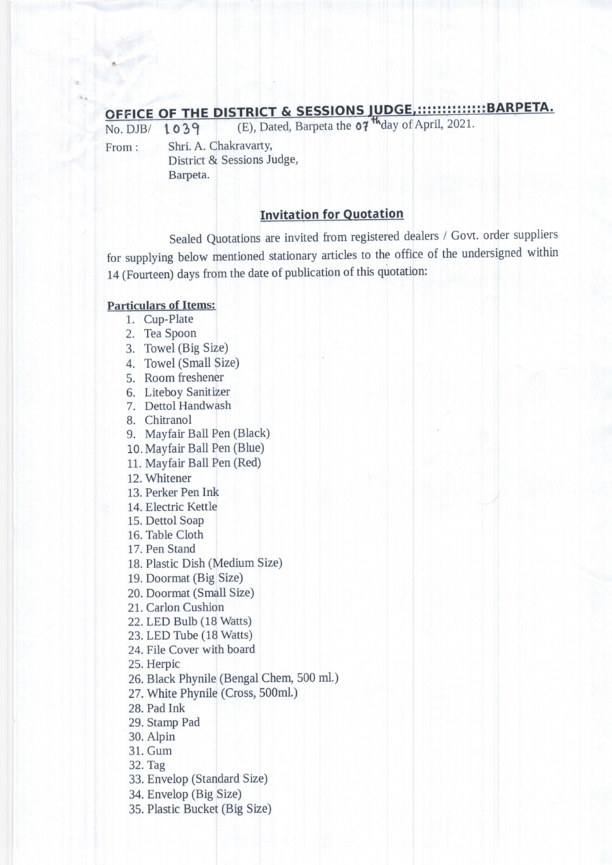## OFFICE OF THE DISTRICT & SESSIONS JUDGE,:::::::::::::::BARPETA.<br>No. DJB/ 1039 (E), Dated, Barpeta the 07<sup>th</sup>day of April, 2021.

No. DJB/ From:

r03g Shri. A. Chakravarty, District & Sessions Judge,

Barpeta.

## **Invitation for Quotation**

Sealed Quotations are invited from registered dealers / Govt. order suppliers for supplying below mentioned stationary articles to the office of the undersigned within 14 (Fourteen) days from the date of publication of this qu

## Particulars of Items:

- 1. Cup-Plate
- 2. Tea Spoon
- 3. Towel (Big Size)
- 4. Towel (Small Size)
- 5. Room freshener
- 6. Liteboy Sanitizer
- 7. Dettol Handwash
- 8. Chitranol
- 9. Mayfair Ball Pen (
- 10. Mayfair Ball Pen (
- 11. Mayfair Ball Pen (
- 12. Whitener
- 13. Perker Pen Ink
- 14. Electric Kettle
- 15. Dettol Soap
- 16. Table Cloth
- 17. Pen Stand
- 18. Plastic Dish (Medium Size)
- 19. Doormat (Big Size)
- 20. Doormat (SmaII Size)
- 21. Carlon Cushion
- 22.LED Bulb (18 Watts)
- 23. LED Tube (18 Watts)
- 24. File Cover with board

25. Herpic

26. Black Phynile (Bengal Chem, 500 ml.)

27. White Phynile (Cross,

28. Pad Ink

29. Stamp Pad

30. Alpin

31. Gum

32. Tag

33. Envelop (Standard <sup>S</sup>

- 34. Envelop (Big Size)
- 35. Plastic Bucket (Big S